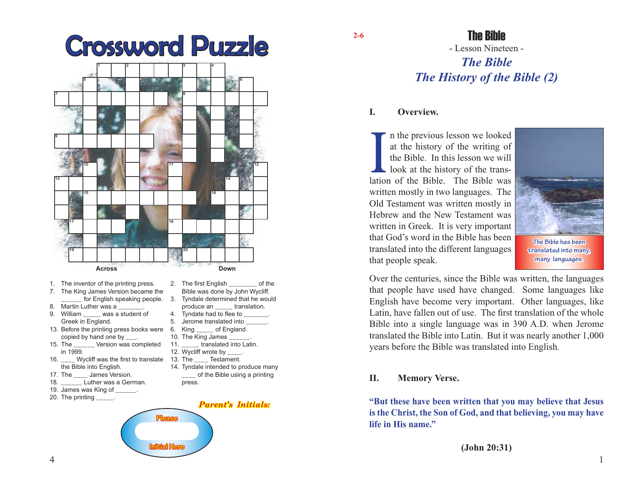

**2-6**

## The Bible

# - Lesson Nineteen - *The Bible The History of the Bible (2)*

#### **I. Overview.**

I a the previous lesson we looked<br>at the history of the writing of<br>the Bible. In this lesson we will<br>look at the history of the trans-<br>lation of the Bible. The Bible was n the previous lesson we looked at the history of the writing of the Bible. In this lesson we will look at the history of the transwritten mostly in two languages. The Old Testament was written mostly in Hebrew and the New Testament was written in Greek. It is very important that God's word in the Bible has been translated into the different languages that people speak.



**The Bible has been translated into many, many languages.**

Over the centuries, since the Bible was written, the languages that people have used have changed. Some languages like English have become very important. Other languages, like Latin, have fallen out of use. The first translation of the whole Bible into a single language was in 390 A.D. when Jerome translated the Bible into Latin. But it was nearly another 1,000 years before the Bible was translated into English.

#### **II. Memory Verse.**

**"But these have been written that you may believe that Jesus is the Christ, the Son of God, and that believing, you may have life in His name."**